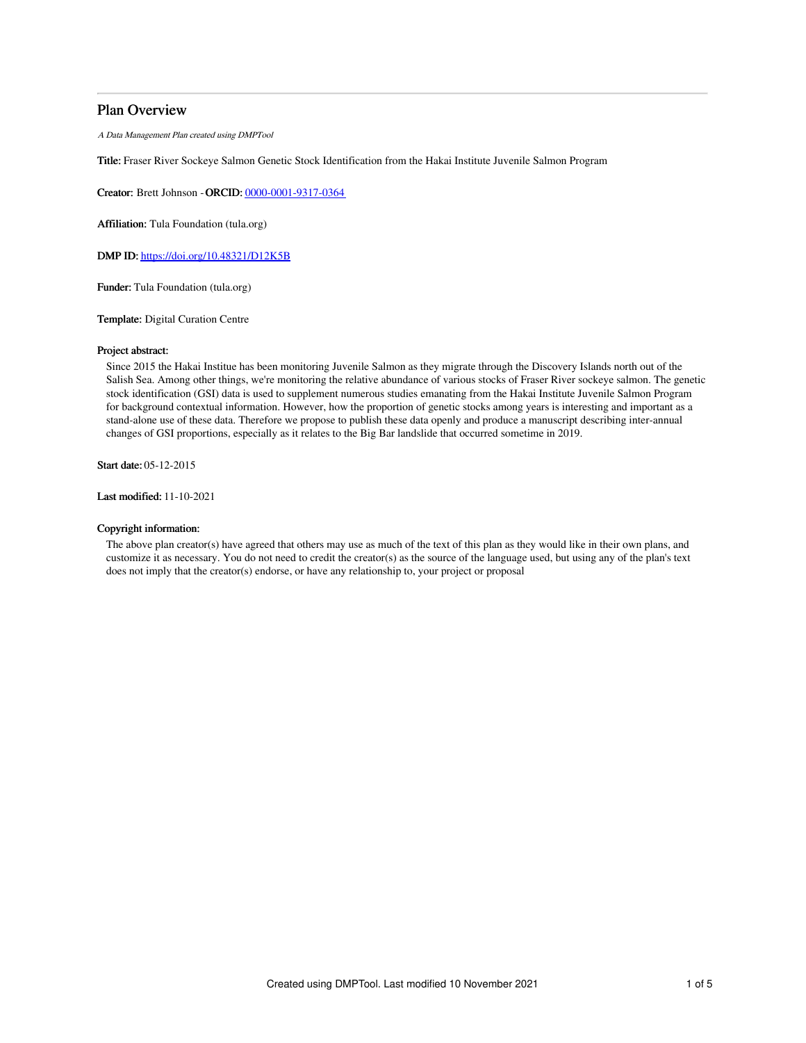## Plan Overview

A Data Management Plan created using DMPTool

Title: Fraser River Sockeye Salmon Genetic Stock Identification from the Hakai Institute Juvenile Salmon Program

Creator: Brett Johnson -ORCID: [0000-0001-9317-0364](https://orcid.org/0000-0001-9317-0364)

Affiliation: Tula Foundation (tula.org)

DMP ID: <https://doi.org/10.48321/D12K5B>

Funder: Tula Foundation (tula.org)

Template: Digital Curation Centre

#### Project abstract:

Since 2015 the Hakai Institue has been monitoring Juvenile Salmon as they migrate through the Discovery Islands north out of the Salish Sea. Among other things, we're monitoring the relative abundance of various stocks of Fraser River sockeye salmon. The genetic stock identification (GSI) data is used to supplement numerous studies emanating from the Hakai Institute Juvenile Salmon Program for background contextual information. However, how the proportion of genetic stocks among years is interesting and important as a stand-alone use of these data. Therefore we propose to publish these data openly and produce a manuscript describing inter-annual changes of GSI proportions, especially as it relates to the Big Bar landslide that occurred sometime in 2019.

Start date: 05-12-2015

Last modified: 11-10-2021

### Copyright information:

The above plan creator(s) have agreed that others may use as much of the text of this plan as they would like in their own plans, and customize it as necessary. You do not need to credit the creator(s) as the source of the language used, but using any of the plan's text does not imply that the creator(s) endorse, or have any relationship to, your project or proposal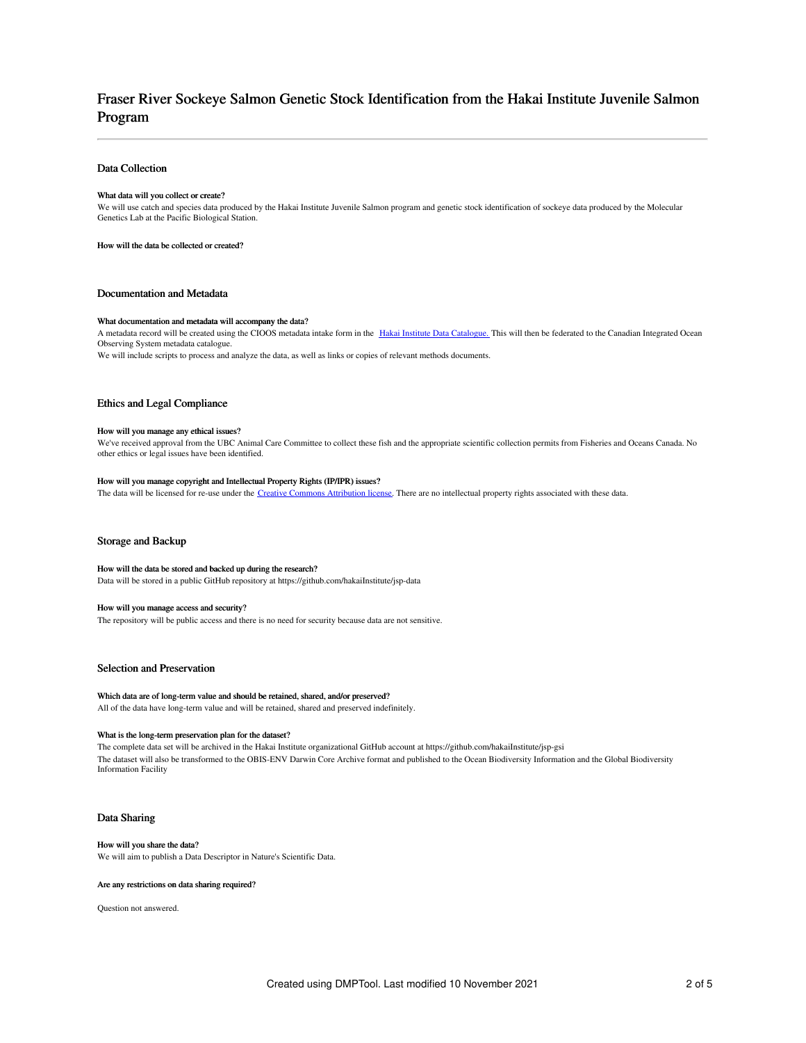## Fraser River Sockeye Salmon Genetic Stock Identification from the Hakai Institute Juvenile Salmon Program

#### Data Collection

#### What data will you collect or create?

We will use catch and species data produced by the Hakai Institute Juvenile Salmon program and genetic stock identification of sockeye data produced by the Molecular Genetics Lab at the Pacific Biological Station.

How will the data be collected or created?

#### Documentation and Metadata

#### What documentation and metadata will accompany the data?

A metadata record will be created using the CIOOS metadata intake form in the Hakai Institute Data [Catalogue.](http://catalogue.hakai.org/) This will then be federated to the Canadian Integrated Ocean Observing System metadata catalogue.

We will include scripts to process and analyze the data, as well as links or copies of relevant methods documents.

#### Ethics and Legal Compliance

#### How will you manage any ethical issues?

We've received approval from the UBC Animal Care Committee to collect these fish and the appropriate scientific collection permits from Fisheries and Oceans Canada. No other ethics or legal issues have been identified.

#### How will you manage copyright and Intellectual Property Rights (IP/IPR) issues?

The data will be licensed for re-use under the Creative Commons [Attribution](https://creativecommons.org/licenses/by/4.0/) license. There are no intellectual property rights associated with these data.

#### Storage and Backup

#### How will the data be stored and backed up during the research?

Data will be stored in a public GitHub repository at https://github.com/hakaiInstitute/jsp-data

#### How will you manage access and security?

The repository will be public access and there is no need for security because data are not sensitive.

#### Selection and Preservation

#### Which data are of long-term value and should be retained, shared, and/or preserved?

All of the data have long-term value and will be retained, shared and preserved indefinitely.

#### What is the long-term preservation plan for the dataset?

The complete data set will be archived in the Hakai Institute organizational GitHub account at https://github.com/hakaiInstitute/jsp-gsi The dataset will also be transformed to the OBIS-ENV Darwin Core Archive format and published to the Ocean Biodiversity Information and the Global Biodiversity Information Facility

#### Data Sharing

### How will you share the data?

We will aim to publish a Data Descriptor in Nature's Scientific Data.

#### Are any restrictions on data sharing required?

Question not answered.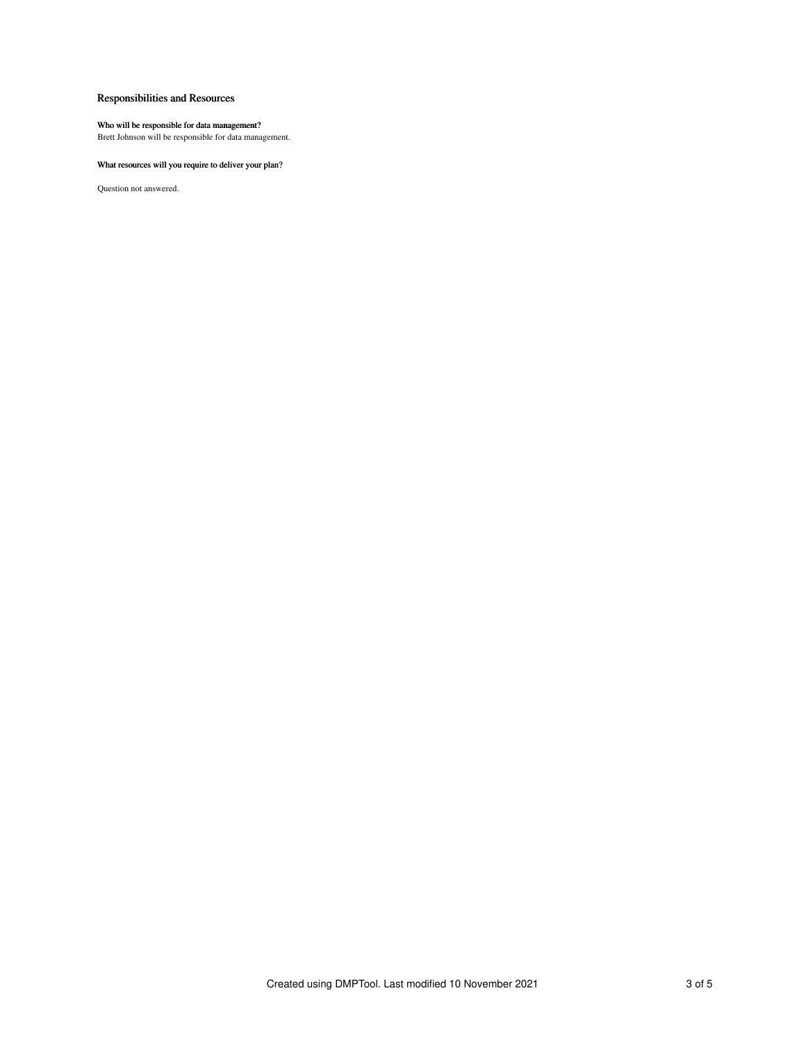## Responsibilities and Resources

#### Who will be responsible for data management?

Brett Johnson will be responsible for data management.

## What resources will you require to deliver your plan?

Question not answered.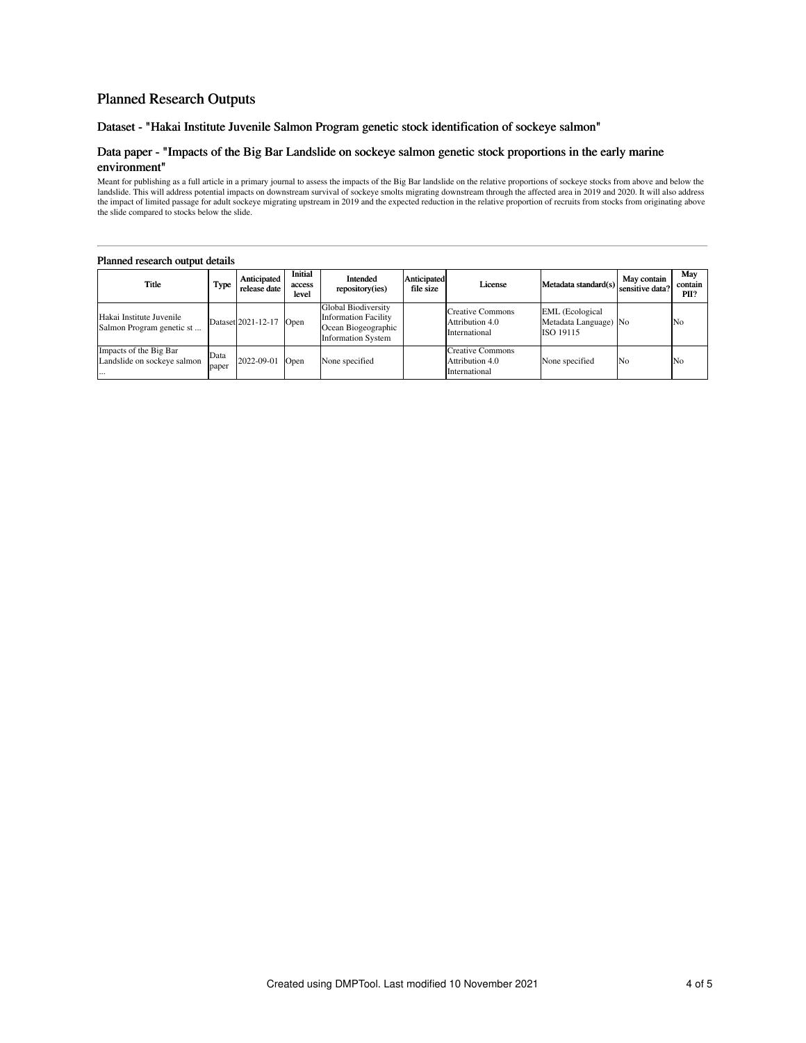## Planned Research Outputs

Dataset - "Hakai Institute Juvenile Salmon Program genetic stock identification of sockeye salmon"

## Data paper - "Impacts of the Big Bar Landslide on sockeye salmon genetic stock proportions in the early marine environment"

Meant for publishing as a full article in a primary journal to assess the impacts of the Big Bar landslide on the relative proportions of sockeye stocks from above and below the landslide. This will adverse potential impac

#### Planned research output details

| Title                                                     | Type          | Anticipated<br>release date | Initial<br>access<br>level | Intended<br>repository(ies)                                                                            | Anticipated<br>file size | License                                                     | Metadata standard(s) sensitive data?                         | May contain | May<br>contain<br>PII? |
|-----------------------------------------------------------|---------------|-----------------------------|----------------------------|--------------------------------------------------------------------------------------------------------|--------------------------|-------------------------------------------------------------|--------------------------------------------------------------|-------------|------------------------|
| Hakai Institute Juvenile<br>Salmon Program genetic st     |               | Dataset 2021-12-17          | Open                       | Global Biodiversity<br><b>Information Facility</b><br>Ocean Biogeographic<br><b>Information System</b> |                          | Creative Commons<br>Attribution 4.0<br>International        | <b>EML</b> (Ecological<br>Metadata Language) No<br>ISO 19115 |             | No                     |
| Impacts of the Big Bar<br>Landslide on sockeye salmon<br> | Data<br>paper | 2022-09-01                  | Open                       | None specified                                                                                         |                          | <b>Creative Commons</b><br>Attribution 4.0<br>International | None specified                                               | No          | N <sub>o</sub>         |